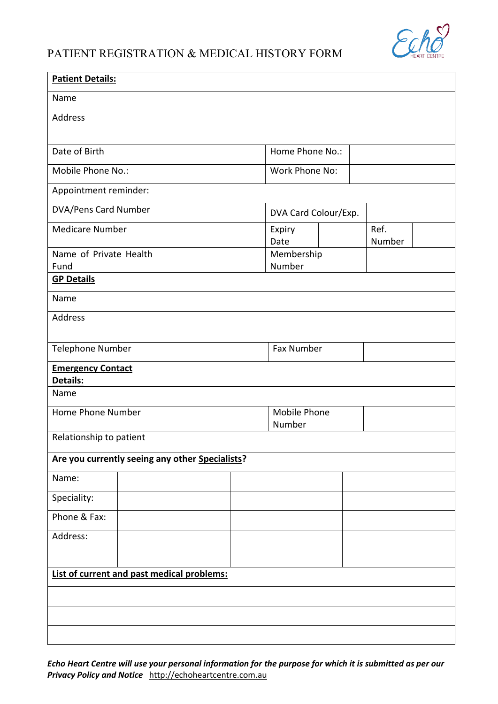

## PATIENT REGISTRATION & MEDICAL HISTORY FORM

| <b>Patient Details:</b>                         |  |  |  |                        |                      |                |  |  |  |
|-------------------------------------------------|--|--|--|------------------------|----------------------|----------------|--|--|--|
| Name                                            |  |  |  |                        |                      |                |  |  |  |
| Address                                         |  |  |  |                        |                      |                |  |  |  |
|                                                 |  |  |  |                        |                      |                |  |  |  |
| Date of Birth                                   |  |  |  | Home Phone No.:        |                      |                |  |  |  |
| Mobile Phone No.:                               |  |  |  | Work Phone No:         |                      |                |  |  |  |
| Appointment reminder:                           |  |  |  |                        |                      |                |  |  |  |
| DVA/Pens Card Number                            |  |  |  |                        | DVA Card Colour/Exp. |                |  |  |  |
| <b>Medicare Number</b>                          |  |  |  | Expiry<br>Date         |                      | Ref.<br>Number |  |  |  |
| Name of Private Health                          |  |  |  | Membership             |                      |                |  |  |  |
| Fund<br><b>GP Details</b>                       |  |  |  | Number                 |                      |                |  |  |  |
|                                                 |  |  |  |                        |                      |                |  |  |  |
| Name                                            |  |  |  |                        |                      |                |  |  |  |
| Address                                         |  |  |  |                        |                      |                |  |  |  |
| Telephone Number                                |  |  |  |                        | <b>Fax Number</b>    |                |  |  |  |
| <b>Emergency Contact</b><br>Details:            |  |  |  |                        |                      |                |  |  |  |
| Name                                            |  |  |  |                        |                      |                |  |  |  |
| Home Phone Number                               |  |  |  | Mobile Phone<br>Number |                      |                |  |  |  |
| Relationship to patient                         |  |  |  |                        |                      |                |  |  |  |
| Are you currently seeing any other Specialists? |  |  |  |                        |                      |                |  |  |  |
| Name:                                           |  |  |  |                        |                      |                |  |  |  |
| Speciality:                                     |  |  |  |                        |                      |                |  |  |  |
| Phone & Fax:                                    |  |  |  |                        |                      |                |  |  |  |
| Address:                                        |  |  |  |                        |                      |                |  |  |  |
|                                                 |  |  |  |                        |                      |                |  |  |  |
| List of current and past medical problems:      |  |  |  |                        |                      |                |  |  |  |
|                                                 |  |  |  |                        |                      |                |  |  |  |
|                                                 |  |  |  |                        |                      |                |  |  |  |
|                                                 |  |  |  |                        |                      |                |  |  |  |
|                                                 |  |  |  |                        |                      |                |  |  |  |

*Echo Heart Centre will use your personal information for the purpose for which it is submitted as per our Privacy Policy and Notice* http://echoheartcentre.com.au